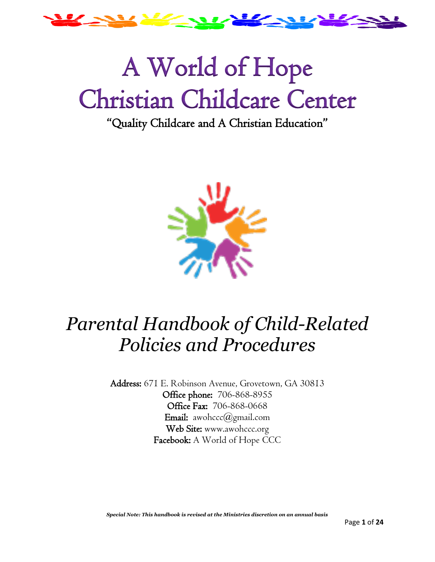

# A World of Hope Christian Childcare Center

# "Quality Childcare and A Christian Education"



# *Parental Handbook of Child-Related Policies and Procedures*

Address: 671 E. Robinson Avenue, Grovetown, GA 30813 Office phone: 706-868-8955 Office Fax: 706-868-0668 Email: awohccc@gmail.com Web Site: www.awohccc.org Facebook: A World of Hope CCC

*Special Note: This handbook is revised at the Ministries discretion on an annual basis*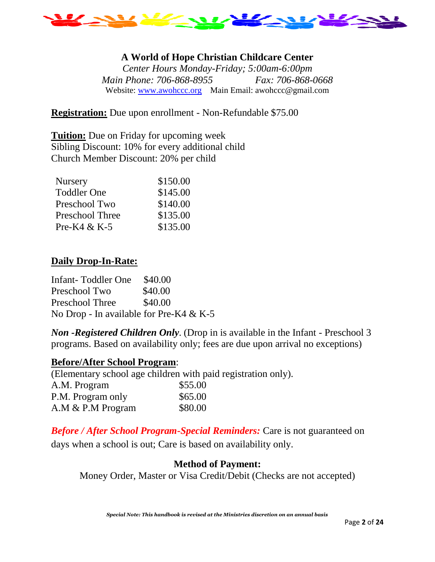

# **A World of Hope Christian Childcare Center**

*Center Hours Monday-Friday; 5:00am-6:00pm Main Phone: 706-868-8955 Fax: 706-868-0668* Website: [www.awohccc.org](http://www.awohccc.org/) Main Email: awohccc@gmail.com

**Registration:** Due upon enrollment - Non-Refundable \$75.00

**Tuition:** Due on Friday for upcoming week Sibling Discount: 10% for every additional child Church Member Discount: 20% per child

| <b>Nursery</b>         | \$150.00 |
|------------------------|----------|
| <b>Toddler One</b>     | \$145.00 |
| Preschool Two          | \$140.00 |
| <b>Preschool Three</b> | \$135.00 |
| Pre-K4 & K-5           | \$135.00 |

### **Daily Drop-In-Rate:**

Infant- Toddler One \$40.00 Preschool Two \$40.00 Preschool Three \$40.00 No Drop - In available for Pre-K4 & K-5

*Non -Registered Children Only.* (Drop in is available in the Infant - Preschool 3 programs. Based on availability only; fees are due upon arrival no exceptions)

### **Before/After School Program**:

(Elementary school age children with paid registration only).

| A.M. Program      | \$55.00 |
|-------------------|---------|
| P.M. Program only | \$65.00 |
| A.M & P.M Program | \$80.00 |

*Before / After School Program-Special Reminders:* Care is not guaranteed on days when a school is out; Care is based on availability only.

# **Method of Payment:**

Money Order, Master or Visa Credit/Debit (Checks are not accepted)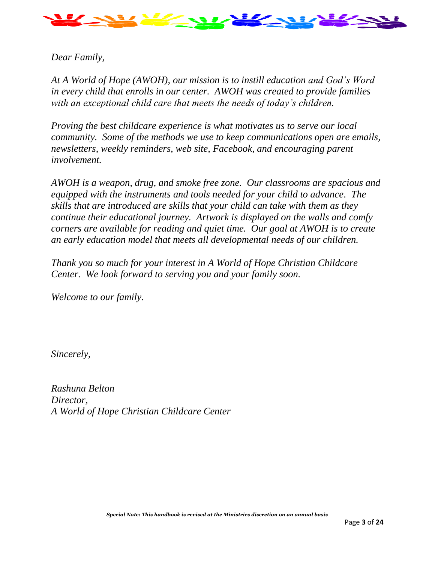

# *Dear Family,*

*At A World of Hope (AWOH), our mission is to instill education and God's Word in every child that enrolls in our center. AWOH was created to provide families with an exceptional child care that meets the needs of today's children.*

*Proving the best childcare experience is what motivates us to serve our local community. Some of the methods we use to keep communications open are emails, newsletters, weekly reminders, web site, Facebook, and encouraging parent involvement.*

*AWOH is a weapon, drug, and smoke free zone. Our classrooms are spacious and equipped with the instruments and tools needed for your child to advance. The skills that are introduced are skills that your child can take with them as they continue their educational journey. Artwork is displayed on the walls and comfy corners are available for reading and quiet time. Our goal at AWOH is to create an early education model that meets all developmental needs of our children.* 

*Thank you so much for your interest in A World of Hope Christian Childcare Center. We look forward to serving you and your family soon.*

*Welcome to our family.*

*Sincerely,*

*Rashuna Belton Director, A World of Hope Christian Childcare Center*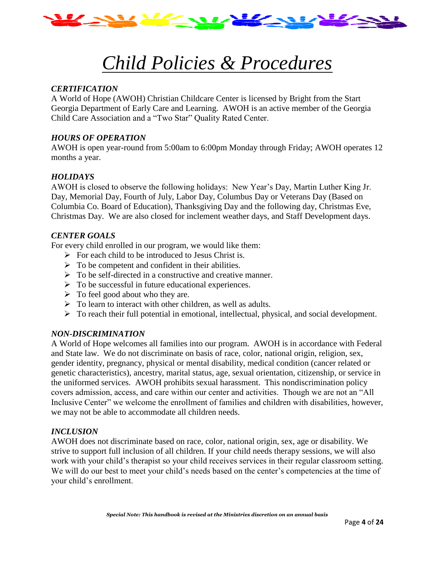

# *Child Policies & Procedures*

#### *CERTIFICATION*

A World of Hope (AWOH) Christian Childcare Center is licensed by Bright from the Start Georgia Department of Early Care and Learning. AWOH is an active member of the Georgia Child Care Association and a "Two Star" Quality Rated Center.

#### *HOURS OF OPERATION*

AWOH is open year-round from 5:00am to 6:00pm Monday through Friday; AWOH operates 12 months a year.

#### *HOLIDAYS*

AWOH is closed to observe the following holidays: New Year's Day, Martin Luther King Jr. Day, Memorial Day, Fourth of July, Labor Day, Columbus Day or Veterans Day (Based on Columbia Co. Board of Education), Thanksgiving Day and the following day, Christmas Eve, Christmas Day. We are also closed for inclement weather days, and Staff Development days.

#### *CENTER GOALS*

For every child enrolled in our program, we would like them:

- $\triangleright$  For each child to be introduced to Jesus Christ is.
- $\triangleright$  To be competent and confident in their abilities.
- ➢ To be self-directed in a constructive and creative manner.
- ➢ To be successful in future educational experiences.
- $\triangleright$  To feel good about who they are.
- ➢ To learn to interact with other children, as well as adults.
- ➢ To reach their full potential in emotional, intellectual, physical, and social development.

#### *NON-DISCRIMINATION*

A World of Hope welcomes all families into our program. AWOH is in accordance with Federal and State law. We do not discriminate on basis of race, color, national origin, religion, sex, gender identity, pregnancy, physical or mental disability, medical condition (cancer related or genetic characteristics), ancestry, marital status, age, sexual orientation, citizenship, or service in the uniformed services. AWOH prohibits sexual harassment. This nondiscrimination policy covers admission, access, and care within our center and activities. Though we are not an "All Inclusive Center" we welcome the enrollment of families and children with disabilities, however, we may not be able to accommodate all children needs.

#### *INCLUSION*

AWOH does not discriminate based on race, color, national origin, sex, age or disability. We strive to support full inclusion of all children. If your child needs therapy sessions, we will also work with your child's therapist so your child receives services in their regular classroom setting. We will do our best to meet your child's needs based on the center's competencies at the time of your child's enrollment.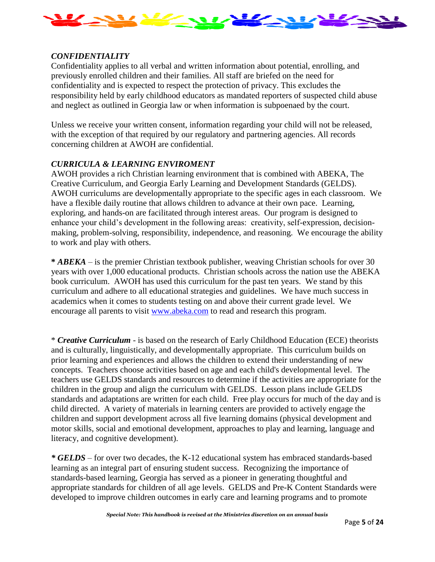

#### *CONFIDENTIALITY*

Confidentiality applies to all verbal and written information about potential, enrolling, and previously enrolled children and their families. All staff are briefed on the need for confidentiality and is expected to respect the protection of privacy. This excludes the responsibility held by early childhood educators as mandated reporters of suspected child abuse and neglect as outlined in Georgia law or when information is subpoenaed by the court.

Unless we receive your written consent, information regarding your child will not be released, with the exception of that required by our regulatory and partnering agencies. All records concerning children at AWOH are confidential.

#### *CURRICULA & LEARNING ENVIROMENT*

AWOH provides a rich Christian learning environment that is combined with ABEKA, The Creative Curriculum, and Georgia Early Learning and Development Standards (GELDS). AWOH curriculums are developmentally appropriate to the specific ages in each classroom. We have a flexible daily routine that allows children to advance at their own pace. Learning, exploring, and hands-on are facilitated through interest areas. Our program is designed to enhance your child's development in the following areas: creativity, self-expression, decisionmaking, problem-solving, responsibility, independence, and reasoning. We encourage the ability to work and play with others.

**\*** *ABEKA* – is the premier Christian textbook publisher, weaving Christian schools for over 30 years with over 1,000 educational products. Christian schools across the nation use the ABEKA book curriculum. AWOH has used this curriculum for the past ten years. We stand by this curriculum and adhere to all educational strategies and guidelines. We have much success in academics when it comes to students testing on and above their current grade level. We encourage all parents to visit [www.abeka.com](http://www.abeka.com/) to read and research this program.

\* *Creative Curriculum* - is based on the research of Early Childhood Education (ECE) theorists and is culturally, linguistically, and developmentally appropriate. This curriculum builds on prior learning and experiences and allows the children to extend their understanding of new concepts. Teachers choose activities based on age and each child's developmental level. The teachers use GELDS standards and resources to determine if the activities are appropriate for the children in the group and align the curriculum with GELDS. Lesson plans include GELDS standards and adaptations are written for each child. Free play occurs for much of the day and is child directed. A variety of materials in learning centers are provided to actively engage the children and support development across all five learning domains (physical development and motor skills, social and emotional development, approaches to play and learning, language and literacy, and cognitive development).

*\* GELDS* – for over two decades, the K-12 educational system has embraced standards-based learning as an integral part of ensuring student success. Recognizing the importance of standards-based learning, Georgia has served as a pioneer in generating thoughtful and appropriate standards for children of all age levels. GELDS and Pre-K Content Standards were developed to improve children outcomes in early care and learning programs and to promote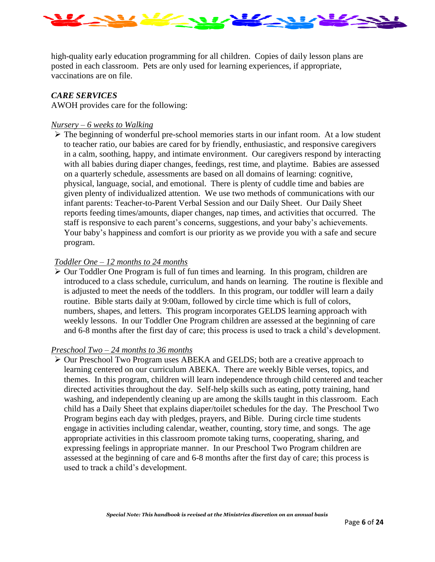

high-quality early education programming for all children. Copies of daily lesson plans are posted in each classroom. Pets are only used for learning experiences, if appropriate, vaccinations are on file.

#### *CARE SERVICES*

AWOH provides care for the following:

#### *Nursery – 6 weeks to Walking*

➢ The beginning of wonderful pre-school memories starts in our infant room. At a low student to teacher ratio, our babies are cared for by friendly, enthusiastic, and responsive caregivers in a calm, soothing, happy, and intimate environment. Our caregivers respond by interacting with all babies during diaper changes, feedings, rest time, and playtime. Babies are assessed on a quarterly schedule, assessments are based on all domains of learning: cognitive, physical, language, social, and emotional. There is plenty of cuddle time and babies are given plenty of individualized attention. We use two methods of communications with our infant parents: Teacher-to-Parent Verbal Session and our Daily Sheet. Our Daily Sheet reports feeding times/amounts, diaper changes, nap times, and activities that occurred. The staff is responsive to each parent's concerns, suggestions, and your baby's achievements. Your baby's happiness and comfort is our priority as we provide you with a safe and secure program.

#### *Toddler One – 12 months to 24 months*

➢ Our Toddler One Program is full of fun times and learning. In this program, children are introduced to a class schedule, curriculum, and hands on learning. The routine is flexible and is adjusted to meet the needs of the toddlers. In this program, our toddler will learn a daily routine. Bible starts daily at 9:00am, followed by circle time which is full of colors, numbers, shapes, and letters. This program incorporates GELDS learning approach with weekly lessons. In our Toddler One Program children are assessed at the beginning of care and 6-8 months after the first day of care; this process is used to track a child's development.

#### *Preschool Two – 24 months to 36 months*

➢ Our Preschool Two Program uses ABEKA and GELDS; both are a creative approach to learning centered on our curriculum ABEKA. There are weekly Bible verses, topics, and themes. In this program, children will learn independence through child centered and teacher directed activities throughout the day. Self-help skills such as eating, potty training, hand washing, and independently cleaning up are among the skills taught in this classroom. Each child has a Daily Sheet that explains diaper/toilet schedules for the day. The Preschool Two Program begins each day with pledges, prayers, and Bible. During circle time students engage in activities including calendar, weather, counting, story time, and songs. The age appropriate activities in this classroom promote taking turns, cooperating, sharing, and expressing feelings in appropriate manner. In our Preschool Two Program children are assessed at the beginning of care and 6-8 months after the first day of care; this process is used to track a child's development.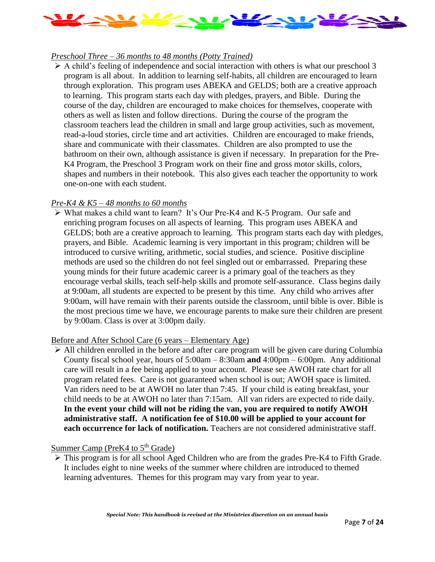

#### *Preschool Three – 36 months to 48 months (Potty Trained)*

 $\triangleright$  A child's feeling of independence and social interaction with others is what our preschool 3 program is all about. In addition to learning self-habits, all children are encouraged to learn through exploration. This program uses ABEKA and GELDS; both are a creative approach to learning. This program starts each day with pledges, prayers, and Bible. During the course of the day, children are encouraged to make choices for themselves, cooperate with others as well as listen and follow directions. During the course of the program the classroom teachers lead the children in small and large group activities, such as movement, read-a-loud stories, circle time and art activities. Children are encouraged to make friends, share and communicate with their classmates. Children are also prompted to use the bathroom on their own, although assistance is given if necessary. In preparation for the Pre-K4 Program, the Preschool 3 Program work on their fine and gross motor skills, colors, shapes and numbers in their notebook. This also gives each teacher the opportunity to work one-on-one with each student.

#### *Pre-K4 & K5 – 48 months to 60 months*

➢ What makes a child want to learn? It's Our Pre-K4 and K-5 Program. Our safe and enriching program focuses on all aspects of learning. This program uses ABEKA and GELDS; both are a creative approach to learning. This program starts each day with pledges, prayers, and Bible. Academic learning is very important in this program; children will be introduced to cursive writing, arithmetic, social studies, and science. Positive discipline methods are used so the children do not feel singled out or embarrassed. Preparing these young minds for their future academic career is a primary goal of the teachers as they encourage verbal skills, teach self-help skills and promote self-assurance. Class begins daily at 9:00am, all students are expected to be present by this time. Any child who arrives after 9:00am, will have remain with their parents outside the classroom, until bible is over. Bible is the most precious time we have, we encourage parents to make sure their children are present by 9:00am. Class is over at 3:00pm daily.

#### Before and After School Care (6 years – Elementary Age)

➢ All children enrolled in the before and after care program will be given care during Columbia County fiscal school year, hours of 5:00am – 8:30am **and** 4:00pm – 6:00pm. Any additional care will result in a fee being applied to your account. Please see AWOH rate chart for all program related fees. Care is not guaranteed when school is out; AWOH space is limited. Van riders need to be at AWOH no later than 7:45. If your child is eating breakfast, your child needs to be at AWOH no later than 7:15am. All van riders are expected to ride daily. **In the event your child will not be riding the van, you are required to notify AWOH administrative staff. A notification fee of \$10.00 will be applied to your account for each occurrence for lack of notification.** Teachers are not considered administrative staff.

Summer Camp (PreK4 to  $5<sup>th</sup>$  Grade)

➢ This program is for all school Aged Children who are from the grades Pre-K4 to Fifth Grade. It includes eight to nine weeks of the summer where children are introduced to themed learning adventures. Themes for this program may vary from year to year.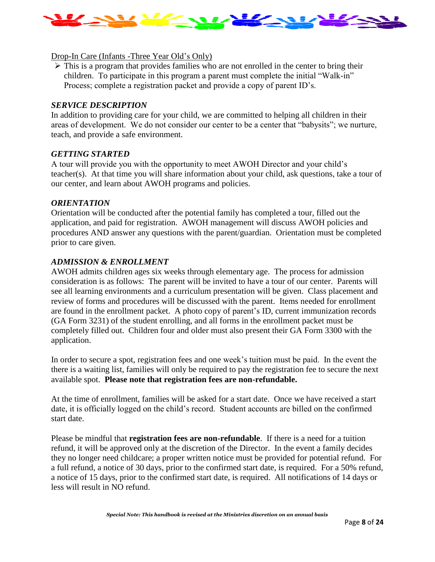

#### Drop-In Care (Infants -Three Year Old's Only)

 $\triangleright$  This is a program that provides families who are not enrolled in the center to bring their children. To participate in this program a parent must complete the initial "Walk-in" Process; complete a registration packet and provide a copy of parent ID's.

#### *SERVICE DESCRIPTION*

In addition to providing care for your child, we are committed to helping all children in their areas of development. We do not consider our center to be a center that "babysits"; we nurture, teach, and provide a safe environment.

#### *GETTING STARTED*

A tour will provide you with the opportunity to meet AWOH Director and your child's teacher(s). At that time you will share information about your child, ask questions, take a tour of our center, and learn about AWOH programs and policies.

#### *ORIENTATION*

Orientation will be conducted after the potential family has completed a tour, filled out the application, and paid for registration. AWOH management will discuss AWOH policies and procedures AND answer any questions with the parent/guardian. Orientation must be completed prior to care given.

#### *ADMISSION & ENROLLMENT*

AWOH admits children ages six weeks through elementary age. The process for admission consideration is as follows: The parent will be invited to have a tour of our center. Parents will see all learning environments and a curriculum presentation will be given. Class placement and review of forms and procedures will be discussed with the parent. Items needed for enrollment are found in the enrollment packet. A photo copy of parent's ID, current immunization records (GA Form 3231) of the student enrolling, and all forms in the enrollment packet must be completely filled out. Children four and older must also present their GA Form 3300 with the application.

In order to secure a spot, registration fees and one week's tuition must be paid. In the event the there is a waiting list, families will only be required to pay the registration fee to secure the next available spot. **Please note that registration fees are non-refundable.** 

At the time of enrollment, families will be asked for a start date. Once we have received a start date, it is officially logged on the child's record. Student accounts are billed on the confirmed start date.

Please be mindful that **registration fees are non-refundable**. If there is a need for a tuition refund, it will be approved only at the discretion of the Director. In the event a family decides they no longer need childcare; a proper written notice must be provided for potential refund. For a full refund, a notice of 30 days, prior to the confirmed start date, is required. For a 50% refund, a notice of 15 days, prior to the confirmed start date, is required. All notifications of 14 days or less will result in NO refund.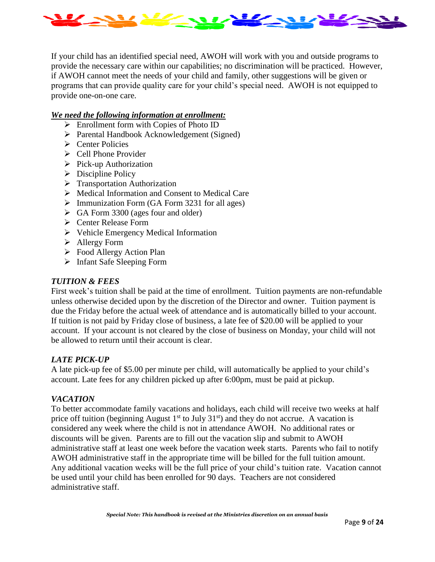

If your child has an identified special need, AWOH will work with you and outside programs to provide the necessary care within our capabilities; no discrimination will be practiced. However, if AWOH cannot meet the needs of your child and family, other suggestions will be given or programs that can provide quality care for your child's special need. AWOH is not equipped to provide one-on-one care.

#### *We need the following information at enrollment:*

- ➢ Enrollment form with Copies of Photo ID
- ➢ Parental Handbook Acknowledgement (Signed)
- ➢ Center Policies
- ➢ Cell Phone Provider
- ➢ Pick-up Authorization
- $\triangleright$  Discipline Policy
- ➢ Transportation Authorization
- ➢ Medical Information and Consent to Medical Care
- $\triangleright$  Immunization Form (GA Form 3231 for all ages)
- $\triangleright$  GA Form 3300 (ages four and older)
- ➢ Center Release Form
- ➢ Vehicle Emergency Medical Information
- ➢ Allergy Form
- ➢ Food Allergy Action Plan
- ➢ Infant Safe Sleeping Form

#### *TUITION & FEES*

First week's tuition shall be paid at the time of enrollment. Tuition payments are non-refundable unless otherwise decided upon by the discretion of the Director and owner. Tuition payment is due the Friday before the actual week of attendance and is automatically billed to your account. If tuition is not paid by Friday close of business, a late fee of \$20.00 will be applied to your account. If your account is not cleared by the close of business on Monday, your child will not be allowed to return until their account is clear.

#### *LATE PICK-UP*

A late pick-up fee of \$5.00 per minute per child, will automatically be applied to your child's account. Late fees for any children picked up after 6:00pm, must be paid at pickup.

#### *VACATION*

To better accommodate family vacations and holidays, each child will receive two weeks at half price off tuition (beginning August  $1<sup>st</sup>$  to July  $31<sup>st</sup>$ ) and they do not accrue. A vacation is considered any week where the child is not in attendance AWOH. No additional rates or discounts will be given. Parents are to fill out the vacation slip and submit to AWOH administrative staff at least one week before the vacation week starts. Parents who fail to notify AWOH administrative staff in the appropriate time will be billed for the full tuition amount. Any additional vacation weeks will be the full price of your child's tuition rate. Vacation cannot be used until your child has been enrolled for 90 days. Teachers are not considered administrative staff.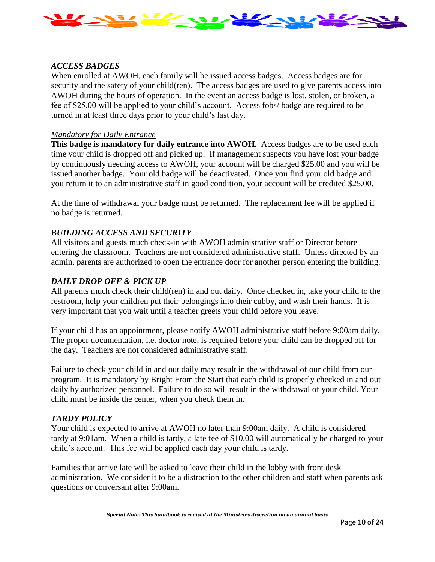

#### *ACCESS BADGES*

When enrolled at AWOH, each family will be issued access badges. Access badges are for security and the safety of your child(ren). The access badges are used to give parents access into AWOH during the hours of operation. In the event an access badge is lost, stolen, or broken, a fee of \$25.00 will be applied to your child's account. Access fobs/ badge are required to be turned in at least three days prior to your child's last day.

#### *Mandatory for Daily Entrance*

**This badge is mandatory for daily entrance into AWOH.** Access badges are to be used each time your child is dropped off and picked up. If management suspects you have lost your badge by continuously needing access to AWOH, your account will be charged \$25.00 and you will be issued another badge. Your old badge will be deactivated. Once you find your old badge and you return it to an administrative staff in good condition, your account will be credited \$25.00.

At the time of withdrawal your badge must be returned. The replacement fee will be applied if no badge is returned.

#### B*UILDING ACCESS AND SECURITY*

All visitors and guests much check-in with AWOH administrative staff or Director before entering the classroom. Teachers are not considered administrative staff. Unless directed by an admin, parents are authorized to open the entrance door for another person entering the building.

#### *DAILY DROP OFF & PICK UP*

All parents much check their child(ren) in and out daily. Once checked in, take your child to the restroom, help your children put their belongings into their cubby, and wash their hands. It is very important that you wait until a teacher greets your child before you leave.

If your child has an appointment, please notify AWOH administrative staff before 9:00am daily. The proper documentation, i.e. doctor note, is required before your child can be dropped off for the day. Teachers are not considered administrative staff.

Failure to check your child in and out daily may result in the withdrawal of our child from our program. It is mandatory by Bright From the Start that each child is properly checked in and out daily by authorized personnel. Failure to do so will result in the withdrawal of your child. Your child must be inside the center, when you check them in.

#### *TARDY POLICY*

Your child is expected to arrive at AWOH no later than 9:00am daily. A child is considered tardy at 9:01am. When a child is tardy, a late fee of \$10.00 will automatically be charged to your child's account. This fee will be applied each day your child is tardy.

Families that arrive late will be asked to leave their child in the lobby with front desk administration. We consider it to be a distraction to the other children and staff when parents ask questions or conversant after 9:00am.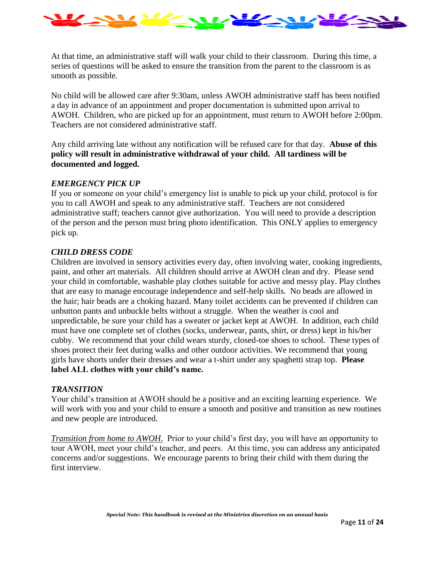

At that time, an administrative staff will walk your child to their classroom. During this time, a series of questions will be asked to ensure the transition from the parent to the classroom is as smooth as possible.

No child will be allowed care after 9:30am, unless AWOH administrative staff has been notified a day in advance of an appointment and proper documentation is submitted upon arrival to AWOH. Children, who are picked up for an appointment, must return to AWOH before 2:00pm. Teachers are not considered administrative staff.

Any child arriving late without any notification will be refused care for that day. **Abuse of this policy will result in administrative withdrawal of your child. All tardiness will be documented and logged.**

#### *EMERGENCY PICK UP*

If you or someone on your child's emergency list is unable to pick up your child, protocol is for you to call AWOH and speak to any administrative staff. Teachers are not considered administrative staff; teachers cannot give authorization. You will need to provide a description of the person and the person must bring photo identification. This ONLY applies to emergency pick up.

#### *CHILD DRESS CODE*

Children are involved in sensory activities every day, often involving water, cooking ingredients, paint, and other art materials. All children should arrive at AWOH clean and dry. Please send your child in comfortable, washable play clothes suitable for active and messy play. Play clothes that are easy to manage encourage independence and self-help skills. No beads are allowed in the hair; hair beads are a choking hazard. Many toilet accidents can be prevented if children can unbutton pants and unbuckle belts without a struggle. When the weather is cool and unpredictable, be sure your child has a sweater or jacket kept at AWOH. In addition, each child must have one complete set of clothes (socks, underwear, pants, shirt, or dress) kept in his/her cubby. We recommend that your child wears sturdy, closed-toe shoes to school. These types of shoes protect their feet during walks and other outdoor activities. We recommend that young girls have shorts under their dresses and wear a t-shirt under any spaghetti strap top. **Please label ALL clothes with your child's name.**

#### *TRANSITION*

Your child's transition at AWOH should be a positive and an exciting learning experience. We will work with you and your child to ensure a smooth and positive and transition as new routines and new people are introduced.

*Transition from home to AWOH*. Prior to your child's first day, you will have an opportunity to tour AWOH, meet your child's teacher, and peers. At this time, you can address any anticipated concerns and/or suggestions. We encourage parents to bring their child with them during the first interview.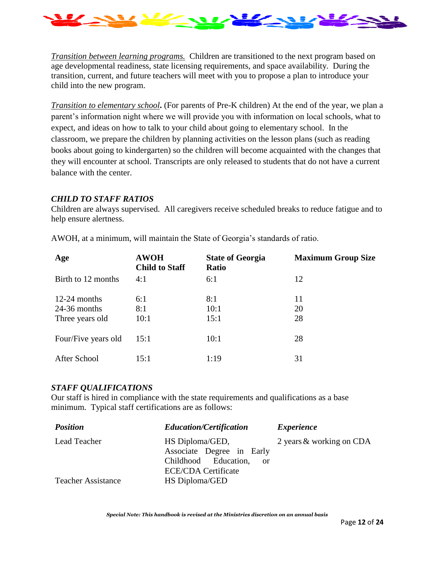

*Transition between learning programs.* Children are transitioned to the next program based on age developmental readiness, state licensing requirements, and space availability. During the transition, current, and future teachers will meet with you to propose a plan to introduce your child into the new program.

*Transition to elementary school***.** (For parents of Pre-K children) At the end of the year, we plan a parent's information night where we will provide you with information on local schools, what to expect, and ideas on how to talk to your child about going to elementary school. In the classroom, we prepare the children by planning activities on the lesson plans (such as reading books about going to kindergarten) so the children will become acquainted with the changes that they will encounter at school. Transcripts are only released to students that do not have a current balance with the center.

#### *CHILD TO STAFF RATIOS*

Children are always supervised. All caregivers receive scheduled breaks to reduce fatigue and to help ensure alertness.

| Age                                                 | <b>AWOH</b><br><b>Child to Staff</b> | <b>State of Georgia</b><br><b>Ratio</b> | <b>Maximum Group Size</b> |
|-----------------------------------------------------|--------------------------------------|-----------------------------------------|---------------------------|
| Birth to 12 months                                  | 4:1                                  | 6:1                                     | 12                        |
| $12-24$ months<br>$24-36$ months<br>Three years old | 6:1<br>8:1<br>10:1                   | 8:1<br>10:1<br>15:1                     | 11<br>20<br>28            |
| Four/Five years old                                 | 15:1                                 | 10:1                                    | 28                        |
| After School                                        | 15:1                                 | 1:19                                    | 31                        |

AWOH, at a minimum, will maintain the State of Georgia's standards of ratio.

#### *STAFF QUALIFICATIONS*

Our staff is hired in compliance with the state requirements and qualifications as a base minimum. Typical staff certifications are as follows:

| <b>Position</b>           | <b>Education/Certification</b> | <i>Experience</i>        |
|---------------------------|--------------------------------|--------------------------|
| Lead Teacher              | HS Diploma/GED,                | 2 years & working on CDA |
|                           | Associate Degree in Early      |                          |
|                           | Childhood Education,<br>-or    |                          |
|                           | <b>ECE/CDA Certificate</b>     |                          |
| <b>Teacher Assistance</b> | HS Diploma/GED                 |                          |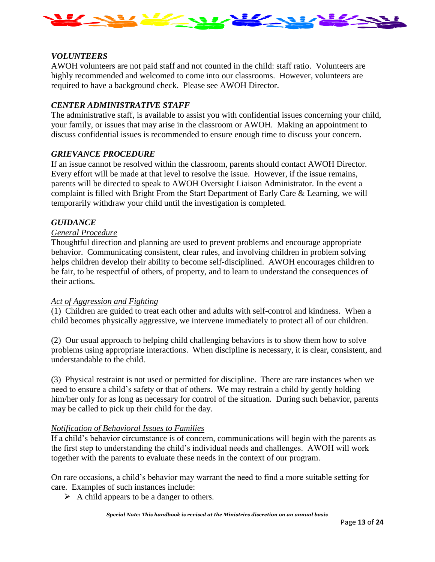

#### *VOLUNTEERS*

AWOH volunteers are not paid staff and not counted in the child: staff ratio. Volunteers are highly recommended and welcomed to come into our classrooms. However, volunteers are required to have a background check. Please see AWOH Director.

#### *CENTER ADMINISTRATIVE STAFF*

The administrative staff, is available to assist you with confidential issues concerning your child, your family, or issues that may arise in the classroom or AWOH. Making an appointment to discuss confidential issues is recommended to ensure enough time to discuss your concern.

#### *GRIEVANCE PROCEDURE*

If an issue cannot be resolved within the classroom, parents should contact AWOH Director. Every effort will be made at that level to resolve the issue. However, if the issue remains, parents will be directed to speak to AWOH Oversight Liaison Administrator. In the event a complaint is filled with Bright From the Start Department of Early Care & Learning, we will temporarily withdraw your child until the investigation is completed.

#### *GUIDANCE*

#### *General Procedure*

Thoughtful direction and planning are used to prevent problems and encourage appropriate behavior. Communicating consistent, clear rules, and involving children in problem solving helps children develop their ability to become self-disciplined. AWOH encourages children to be fair, to be respectful of others, of property, and to learn to understand the consequences of their actions.

#### *Act of Aggression and Fighting*

(1) Children are guided to treat each other and adults with self-control and kindness. When a child becomes physically aggressive, we intervene immediately to protect all of our children.

(2) Our usual approach to helping child challenging behaviors is to show them how to solve problems using appropriate interactions. When discipline is necessary, it is clear, consistent, and understandable to the child.

(3) Physical restraint is not used or permitted for discipline. There are rare instances when we need to ensure a child's safety or that of others. We may restrain a child by gently holding him/her only for as long as necessary for control of the situation. During such behavior, parents may be called to pick up their child for the day.

#### *Notification of Behavioral Issues to Families*

If a child's behavior circumstance is of concern, communications will begin with the parents as the first step to understanding the child's individual needs and challenges. AWOH will work together with the parents to evaluate these needs in the context of our program.

On rare occasions, a child's behavior may warrant the need to find a more suitable setting for care. Examples of such instances include:

 $\triangleright$  A child appears to be a danger to others.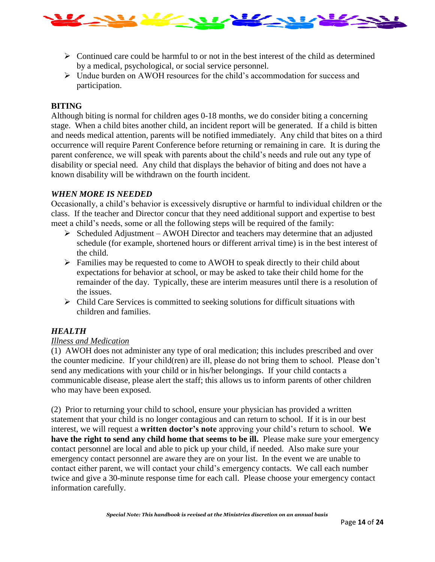

- $\triangleright$  Continued care could be harmful to or not in the best interest of the child as determined by a medical, psychological, or social service personnel.
- $\triangleright$  Undue burden on AWOH resources for the child's accommodation for success and participation.

#### **BITING**

Although biting is normal for children ages 0-18 months, we do consider biting a concerning stage. When a child bites another child, an incident report will be generated. If a child is bitten and needs medical attention, parents will be notified immediately. Any child that bites on a third occurrence will require Parent Conference before returning or remaining in care. It is during the parent conference, we will speak with parents about the child's needs and rule out any type of disability or special need. Any child that displays the behavior of biting and does not have a known disability will be withdrawn on the fourth incident.

#### *WHEN MORE IS NEEDED*

Occasionally, a child's behavior is excessively disruptive or harmful to individual children or the class. If the teacher and Director concur that they need additional support and expertise to best meet a child's needs, some or all the following steps will be required of the family:

- ➢ Scheduled Adjustment AWOH Director and teachers may determine that an adjusted schedule (for example, shortened hours or different arrival time) is in the best interest of the child.
- ➢ Families may be requested to come to AWOH to speak directly to their child about expectations for behavior at school, or may be asked to take their child home for the remainder of the day. Typically, these are interim measures until there is a resolution of the issues.
- $\triangleright$  Child Care Services is committed to seeking solutions for difficult situations with children and families.

#### *HEALTH*

#### *Illness and Medication*

(1) AWOH does not administer any type of oral medication; this includes prescribed and over the counter medicine. If your child(ren) are ill, please do not bring them to school. Please don't send any medications with your child or in his/her belongings. If your child contacts a communicable disease, please alert the staff; this allows us to inform parents of other children who may have been exposed.

(2) Prior to returning your child to school, ensure your physician has provided a written statement that your child is no longer contagious and can return to school. If it is in our best interest, we will request a **written doctor's note** approving your child's return to school. **We**  have the right to send any child home that seems to be ill. Please make sure your emergency contact personnel are local and able to pick up your child, if needed. Also make sure your emergency contact personnel are aware they are on your list. In the event we are unable to contact either parent, we will contact your child's emergency contacts. We call each number twice and give a 30-minute response time for each call. Please choose your emergency contact information carefully.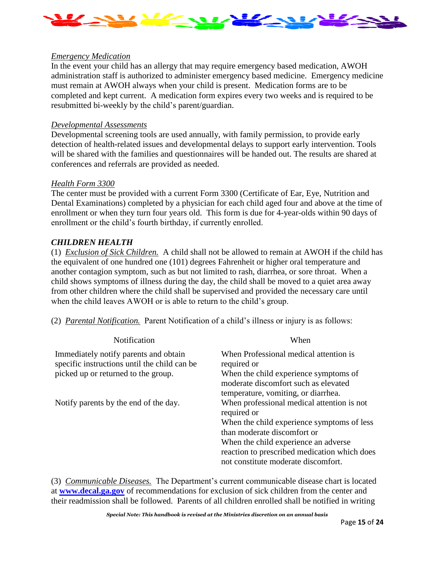

#### *Emergency Medication*

In the event your child has an allergy that may require emergency based medication, AWOH administration staff is authorized to administer emergency based medicine. Emergency medicine must remain at AWOH always when your child is present. Medication forms are to be completed and kept current. A medication form expires every two weeks and is required to be resubmitted bi-weekly by the child's parent/guardian.

#### *Developmental Assessments*

Developmental screening tools are used annually, with family permission, to provide early detection of health-related issues and developmental delays to support early intervention. Tools will be shared with the families and questionnaires will be handed out. The results are shared at conferences and referrals are provided as needed.

#### *Health Form 3300*

The center must be provided with a current Form 3300 (Certificate of Ear, Eye, Nutrition and Dental Examinations) completed by a physician for each child aged four and above at the time of enrollment or when they turn four years old. This form is due for 4-year-olds within 90 days of enrollment or the child's fourth birthday, if currently enrolled.

#### *CHILDREN HEALTH*

(1) *Exclusion of Sick Children.* A child shall not be allowed to remain at AWOH if the child has the equivalent of one hundred one (101) degrees Fahrenheit or higher oral temperature and another contagion symptom, such as but not limited to rash, diarrhea, or sore throat. When a child shows symptoms of illness during the day, the child shall be moved to a quiet area away from other children where the child shall be supervised and provided the necessary care until when the child leaves AWOH or is able to return to the child's group.

(2) *Parental Notification.* Parent Notification of a child's illness or injury is as follows:

| <b>Notification</b>                                                                   | When                                                                                                                 |
|---------------------------------------------------------------------------------------|----------------------------------------------------------------------------------------------------------------------|
| Immediately notify parents and obtain<br>specific instructions until the child can be | When Professional medical attention is<br>required or                                                                |
| picked up or returned to the group.                                                   | When the child experience symptoms of<br>moderate discomfort such as elevated<br>temperature, vomiting, or diarrhea. |
| Notify parents by the end of the day.                                                 | When professional medical attention is not<br>required or                                                            |
|                                                                                       | When the child experience symptoms of less<br>than moderate discomfort or                                            |
|                                                                                       | When the child experience an adverse                                                                                 |
|                                                                                       | reaction to prescribed medication which does<br>not constitute moderate discomfort.                                  |

(3) *Communicable Diseases.* The Department's current communicable disease chart is located at **[www.decal.ga.gov](http://www.decal.ga.gov/)** of recommendations for exclusion of sick children from the center and their readmission shall be followed. Parents of all children enrolled shall be notified in writing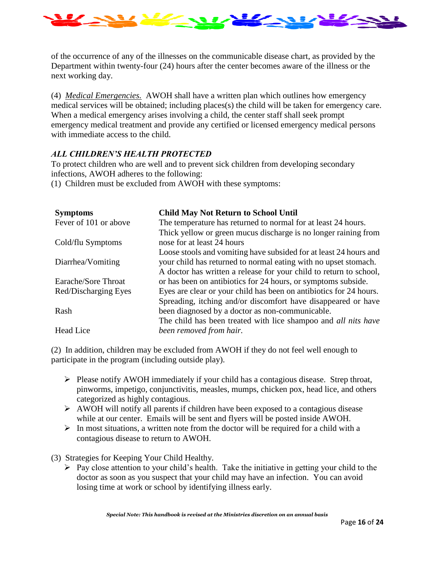

of the occurrence of any of the illnesses on the communicable disease chart, as provided by the Department within twenty-four (24) hours after the center becomes aware of the illness or the next working day.

(4) *Medical Emergencies.* AWOH shall have a written plan which outlines how emergency medical services will be obtained; including places(s) the child will be taken for emergency care. When a medical emergency arises involving a child, the center staff shall seek prompt emergency medical treatment and provide any certified or licensed emergency medical persons with immediate access to the child.

#### *ALL CHILDREN'S HEALTH PROTECTED*

To protect children who are well and to prevent sick children from developing secondary infections, AWOH adheres to the following:

(1) Children must be excluded from AWOH with these symptoms:

| <b>Symptoms</b>       | <b>Child May Not Return to School Until</b>                           |
|-----------------------|-----------------------------------------------------------------------|
| Fever of 101 or above | The temperature has returned to normal for at least 24 hours.         |
|                       | Thick yellow or green mucus discharge is no longer raining from       |
| Cold/flu Symptoms     | nose for at least 24 hours                                            |
|                       | Loose stools and vomiting have subsided for at least 24 hours and     |
| Diarrhea/Vomiting     | your child has returned to normal eating with no upset stomach.       |
|                       | A doctor has written a release for your child to return to school,    |
| Earache/Sore Throat   | or has been on antibiotics for 24 hours, or symptoms subside.         |
| Red/Discharging Eyes  | Eyes are clear or your child has been on antibiotics for 24 hours.    |
|                       | Spreading, itching and/or discomfort have disappeared or have         |
| Rash                  | been diagnosed by a doctor as non-communicable.                       |
|                       | The child has been treated with lice shampoo and <i>all nits have</i> |
| Head Lice             | been removed from hair.                                               |

(2) In addition, children may be excluded from AWOH if they do not feel well enough to participate in the program (including outside play).

- ➢ Please notify AWOH immediately if your child has a contagious disease. Strep throat, pinworms, impetigo, conjunctivitis, measles, mumps, chicken pox, head lice, and others categorized as highly contagious.
- ➢ AWOH will notify all parents if children have been exposed to a contagious disease while at our center. Emails will be sent and flyers will be posted inside AWOH.
- $\triangleright$  In most situations, a written note from the doctor will be required for a child with a contagious disease to return to AWOH.

(3) Strategies for Keeping Your Child Healthy.

 $\triangleright$  Pay close attention to your child's health. Take the initiative in getting your child to the doctor as soon as you suspect that your child may have an infection. You can avoid losing time at work or school by identifying illness early.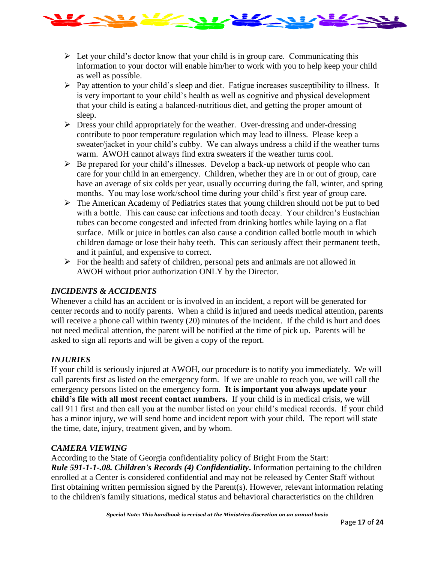

- $\triangleright$  Let your child's doctor know that your child is in group care. Communicating this information to your doctor will enable him/her to work with you to help keep your child as well as possible.
- ➢ Pay attention to your child's sleep and diet. Fatigue increases susceptibility to illness. It is very important to your child's health as well as cognitive and physical development that your child is eating a balanced-nutritious diet, and getting the proper amount of sleep.
- ➢ Dress your child appropriately for the weather. Over-dressing and under-dressing contribute to poor temperature regulation which may lead to illness. Please keep a sweater/jacket in your child's cubby. We can always undress a child if the weather turns warm. AWOH cannot always find extra sweaters if the weather turns cool.
- $\triangleright$  Be prepared for your child's illnesses. Develop a back-up network of people who can care for your child in an emergency. Children, whether they are in or out of group, care have an average of six colds per year, usually occurring during the fall, winter, and spring months. You may lose work/school time during your child's first year of group care.
- ➢ The American Academy of Pediatrics states that young children should not be put to bed with a bottle. This can cause ear infections and tooth decay. Your children's Eustachian tubes can become congested and infected from drinking bottles while laying on a flat surface. Milk or juice in bottles can also cause a condition called bottle mouth in which children damage or lose their baby teeth. This can seriously affect their permanent teeth, and it painful, and expensive to correct.
- ➢ For the health and safety of children, personal pets and animals are not allowed in AWOH without prior authorization ONLY by the Director.

#### *INCIDENTS & ACCIDENTS*

Whenever a child has an accident or is involved in an incident, a report will be generated for center records and to notify parents. When a child is injured and needs medical attention, parents will receive a phone call within twenty (20) minutes of the incident. If the child is hurt and does not need medical attention, the parent will be notified at the time of pick up. Parents will be asked to sign all reports and will be given a copy of the report.

#### *INJURIES*

If your child is seriously injured at AWOH, our procedure is to notify you immediately. We will call parents first as listed on the emergency form. If we are unable to reach you, we will call the emergency persons listed on the emergency form. **It is important you always update your child's file with all most recent contact numbers.** If your child is in medical crisis, we will call 911 first and then call you at the number listed on your child's medical records. If your child has a minor injury, we will send home and incident report with your child. The report will state the time, date, injury, treatment given, and by whom.

#### *CAMERA VIEWING*

According to the State of Georgia confidentiality policy of Bright From the Start: *Rule 591-1-1-.08. Children's Records (4) Confidentiality***.** Information pertaining to the children enrolled at a Center is considered confidential and may not be released by Center Staff without first obtaining written permission signed by the Parent(s). However, relevant information relating to the children's family situations, medical status and behavioral characteristics on the children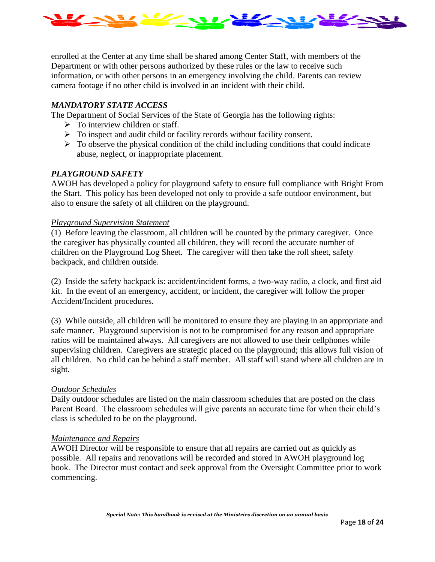

enrolled at the Center at any time shall be shared among Center Staff, with members of the Department or with other persons authorized by these rules or the law to receive such information, or with other persons in an emergency involving the child. Parents can review camera footage if no other child is involved in an incident with their child.

#### *MANDATORY STATE ACCESS*

The Department of Social Services of the State of Georgia has the following rights:

- $\triangleright$  To interview children or staff.
- $\triangleright$  To inspect and audit child or facility records without facility consent.
- $\triangleright$  To observe the physical condition of the child including conditions that could indicate abuse, neglect, or inappropriate placement.

#### *PLAYGROUND SAFETY*

AWOH has developed a policy for playground safety to ensure full compliance with Bright From the Start. This policy has been developed not only to provide a safe outdoor environment, but also to ensure the safety of all children on the playground.

#### *Playground Supervision Statement*

(1) Before leaving the classroom, all children will be counted by the primary caregiver. Once the caregiver has physically counted all children, they will record the accurate number of children on the Playground Log Sheet. The caregiver will then take the roll sheet, safety backpack, and children outside.

(2) Inside the safety backpack is: accident/incident forms, a two-way radio, a clock, and first aid kit. In the event of an emergency, accident, or incident, the caregiver will follow the proper Accident/Incident procedures.

(3) While outside, all children will be monitored to ensure they are playing in an appropriate and safe manner. Playground supervision is not to be compromised for any reason and appropriate ratios will be maintained always. All caregivers are not allowed to use their cellphones while supervising children. Caregivers are strategic placed on the playground; this allows full vision of all children. No child can be behind a staff member. All staff will stand where all children are in sight.

#### *Outdoor Schedules*

Daily outdoor schedules are listed on the main classroom schedules that are posted on the class Parent Board. The classroom schedules will give parents an accurate time for when their child's class is scheduled to be on the playground.

#### *Maintenance and Repairs*

AWOH Director will be responsible to ensure that all repairs are carried out as quickly as possible. All repairs and renovations will be recorded and stored in AWOH playground log book. The Director must contact and seek approval from the Oversight Committee prior to work commencing.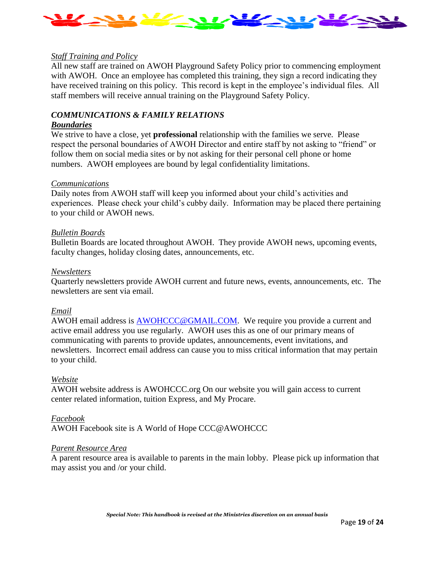

#### *Staff Training and Policy*

All new staff are trained on AWOH Playground Safety Policy prior to commencing employment with AWOH. Once an employee has completed this training, they sign a record indicating they have received training on this policy. This record is kept in the employee's individual files. All staff members will receive annual training on the Playground Safety Policy.

#### *COMMUNICATIONS & FAMILY RELATIONS*

#### *Boundaries*

We strive to have a close, yet **professional** relationship with the families we serve. Please respect the personal boundaries of AWOH Director and entire staff by not asking to "friend" or follow them on social media sites or by not asking for their personal cell phone or home numbers. AWOH employees are bound by legal confidentiality limitations.

#### *Communications*

Daily notes from AWOH staff will keep you informed about your child's activities and experiences. Please check your child's cubby daily. Information may be placed there pertaining to your child or AWOH news.

#### *Bulletin Boards*

Bulletin Boards are located throughout AWOH. They provide AWOH news, upcoming events, faculty changes, holiday closing dates, announcements, etc.

#### *Newsletters*

Quarterly newsletters provide AWOH current and future news, events, announcements, etc. The newsletters are sent via email.

#### *Email*

AWOH email address is [AWOHCCC@GMAIL.COM.](mailto:AWOHCCC@GMAIL.COM) We require you provide a current and active email address you use regularly. AWOH uses this as one of our primary means of communicating with parents to provide updates, announcements, event invitations, and newsletters. Incorrect email address can cause you to miss critical information that may pertain to your child.

#### *Website*

AWOH website address is AWOHCCC.org On our website you will gain access to current center related information, tuition Express, and My Procare.

#### *Facebook*

AWOH Facebook site is A World of Hope CCC@AWOHCCC

#### *Parent Resource Area*

A parent resource area is available to parents in the main lobby. Please pick up information that may assist you and /or your child.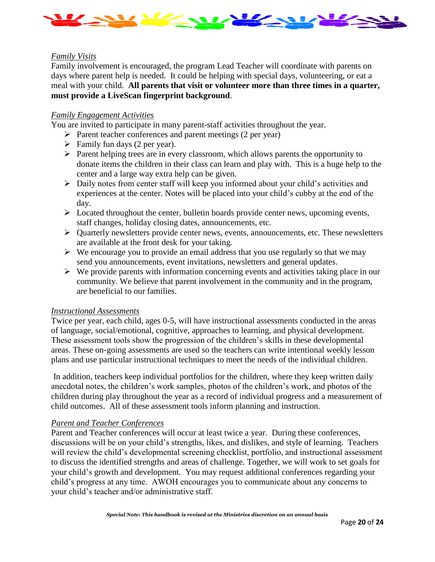

#### *Family Visits*

Family involvement is encouraged, the program Lead Teacher will coordinate with parents on days where parent help is needed. It could be helping with special days, volunteering, or eat a meal with your child. **All parents that visit or volunteer more than three times in a quarter, must provide a LiveScan fingerprint background**.

#### *Family Engagement Activities*

You are invited to participate in many parent-staff activities throughout the year.

- ➢ Parent teacher conferences and parent meetings (2 per year)
- $\triangleright$  Family fun days (2 per year).
- ➢ Parent helping trees are in every classroom, which allows parents the opportunity to donate items the children in their class can learn and play with. This is a huge help to the center and a large way extra help can be given.
- ➢ Daily notes from center staff will keep you informed about your child's activities and experiences at the center. Notes will be placed into your child's cubby at the end of the day.
- $\triangleright$  Located throughout the center, bulletin boards provide center news, upcoming events, staff changes, holiday closing dates, announcements, etc.
- ➢ Quarterly newsletters provide center news, events, announcements, etc. These newsletters are available at the front desk for your taking.
- $\triangleright$  We encourage you to provide an email address that you use regularly so that we may send you announcements, event invitations, newsletters and general updates.
- $\triangleright$  We provide parents with information concerning events and activities taking place in our community. We believe that parent involvement in the community and in the program, are beneficial to our families.

#### *Instructional Assessments*

Twice per year, each child, ages 0-5, will have instructional assessments conducted in the areas of language, social/emotional, cognitive, approaches to learning, and physical development. These assessment tools show the progression of the children's skills in these developmental areas. These on-going assessments are used so the teachers can write intentional weekly lesson plans and use particular instructional techniques to meet the needs of the individual children.

In addition, teachers keep individual portfolios for the children, where they keep written daily anecdotal notes, the children's work samples, photos of the children's work, and photos of the children during play throughout the year as a record of individual progress and a measurement of child outcomes. All of these assessment tools inform planning and instruction.

#### *Parent and Teacher Conferences*

Parent and Teacher conferences will occur at least twice a year. During these conferences, discussions will be on your child's strengths, likes, and dislikes, and style of learning. Teachers will review the child's developmental screening checklist, portfolio, and instructional assessment to discuss the identified strengths and areas of challenge. Together, we will work to set goals for your child's growth and development. You may request additional conferences regarding your child's progress at any time. AWOH encourages you to communicate about any concerns to your child's teacher and/or administrative staff.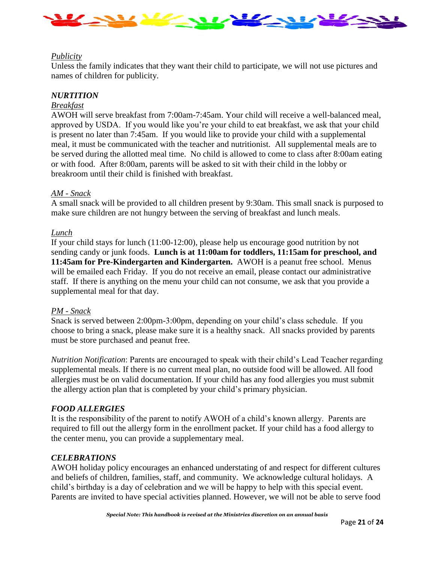

#### *Publicity*

Unless the family indicates that they want their child to participate, we will not use pictures and names of children for publicity.

#### *NURTITION*

#### *Breakfast*

AWOH will serve breakfast from 7:00am-7:45am. Your child will receive a well-balanced meal, approved by USDA. If you would like you're your child to eat breakfast, we ask that your child is present no later than 7:45am. If you would like to provide your child with a supplemental meal, it must be communicated with the teacher and nutritionist. All supplemental meals are to be served during the allotted meal time. No child is allowed to come to class after 8:00am eating or with food. After 8:00am, parents will be asked to sit with their child in the lobby or breakroom until their child is finished with breakfast.

#### *AM - Snack*

A small snack will be provided to all children present by 9:30am. This small snack is purposed to make sure children are not hungry between the serving of breakfast and lunch meals.

#### *Lunch*

If your child stays for lunch (11:00-12:00), please help us encourage good nutrition by not sending candy or junk foods. **Lunch is at 11:00am for toddlers, 11:15am for preschool, and 11:45am for Pre-Kindergarten and Kindergarten.** AWOH is a peanut free school. Menus will be emailed each Friday. If you do not receive an email, please contact our administrative staff. If there is anything on the menu your child can not consume, we ask that you provide a supplemental meal for that day.

#### *PM - Snack*

Snack is served between 2:00pm-3:00pm, depending on your child's class schedule. If you choose to bring a snack, please make sure it is a healthy snack. All snacks provided by parents must be store purchased and peanut free.

*Nutrition Notification*: Parents are encouraged to speak with their child's Lead Teacher regarding supplemental meals. If there is no current meal plan, no outside food will be allowed. All food allergies must be on valid documentation. If your child has any food allergies you must submit the allergy action plan that is completed by your child's primary physician.

#### *FOOD ALLERGIES*

It is the responsibility of the parent to notify AWOH of a child's known allergy. Parents are required to fill out the allergy form in the enrollment packet. If your child has a food allergy to the center menu, you can provide a supplementary meal.

#### *CELEBRATIONS*

AWOH holiday policy encourages an enhanced understating of and respect for different cultures and beliefs of children, families, staff, and community. We acknowledge cultural holidays. A child's birthday is a day of celebration and we will be happy to help with this special event. Parents are invited to have special activities planned. However, we will not be able to serve food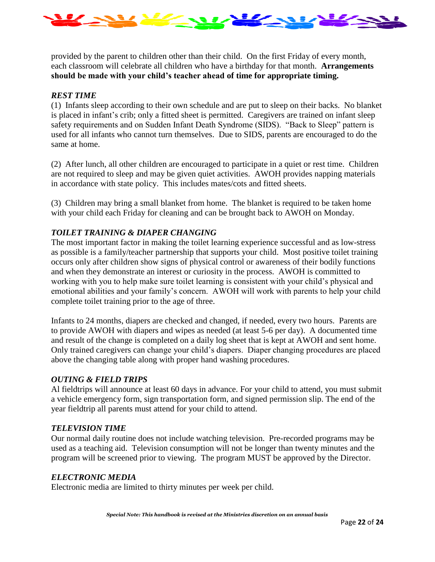

provided by the parent to children other than their child. On the first Friday of every month, each classroom will celebrate all children who have a birthday for that month. **Arrangements should be made with your child's teacher ahead of time for appropriate timing.**

#### *REST TIME*

(1) Infants sleep according to their own schedule and are put to sleep on their backs. No blanket is placed in infant's crib; only a fitted sheet is permitted. Caregivers are trained on infant sleep safety requirements and on Sudden Infant Death Syndrome (SIDS). "Back to Sleep" pattern is used for all infants who cannot turn themselves. Due to SIDS, parents are encouraged to do the same at home.

(2) After lunch, all other children are encouraged to participate in a quiet or rest time. Children are not required to sleep and may be given quiet activities. AWOH provides napping materials in accordance with state policy. This includes mates/cots and fitted sheets.

(3) Children may bring a small blanket from home. The blanket is required to be taken home with your child each Friday for cleaning and can be brought back to AWOH on Monday.

#### *TOILET TRAINING & DIAPER CHANGING*

The most important factor in making the toilet learning experience successful and as low-stress as possible is a family/teacher partnership that supports your child. Most positive toilet training occurs only after children show signs of physical control or awareness of their bodily functions and when they demonstrate an interest or curiosity in the process. AWOH is committed to working with you to help make sure toilet learning is consistent with your child's physical and emotional abilities and your family's concern. AWOH will work with parents to help your child complete toilet training prior to the age of three.

Infants to 24 months, diapers are checked and changed, if needed, every two hours. Parents are to provide AWOH with diapers and wipes as needed (at least 5-6 per day). A documented time and result of the change is completed on a daily log sheet that is kept at AWOH and sent home. Only trained caregivers can change your child's diapers. Diaper changing procedures are placed above the changing table along with proper hand washing procedures.

#### *OUTING & FIELD TRIPS*

Al fieldtrips will announce at least 60 days in advance. For your child to attend, you must submit a vehicle emergency form, sign transportation form, and signed permission slip. The end of the year fieldtrip all parents must attend for your child to attend.

#### *TELEVISION TIME*

Our normal daily routine does not include watching television. Pre-recorded programs may be used as a teaching aid. Television consumption will not be longer than twenty minutes and the program will be screened prior to viewing. The program MUST be approved by the Director.

#### *ELECTRONIC MEDIA*

Electronic media are limited to thirty minutes per week per child.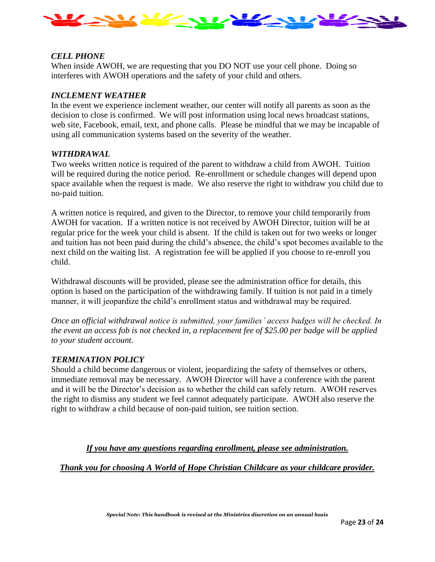

#### *CELL PHONE*

When inside AWOH, we are requesting that you DO NOT use your cell phone. Doing so interferes with AWOH operations and the safety of your child and others.

#### *INCLEMENT WEATHER*

In the event we experience inclement weather, our center will notify all parents as soon as the decision to close is confirmed. We will post information using local news broadcast stations, web site, Facebook, email, text, and phone calls. Please be mindful that we may be incapable of using all communication systems based on the severity of the weather.

#### *WITHDRAWAL*

Two weeks written notice is required of the parent to withdraw a child from AWOH. Tuition will be required during the notice period. Re-enrollment or schedule changes will depend upon space available when the request is made. We also reserve the right to withdraw you child due to no-paid tuition.

A written notice is required, and given to the Director, to remove your child temporarily from AWOH for vacation. If a written notice is not received by AWOH Director, tuition will be at regular price for the week your child is absent. If the child is taken out for two weeks or longer and tuition has not been paid during the child's absence, the child's spot becomes available to the next child on the waiting list. A registration fee will be applied if you choose to re-enroll you child.

Withdrawal discounts will be provided, please see the administration office for details, this option is based on the participation of the withdrawing family. If tuition is not paid in a timely manner, it will jeopardize the child's enrollment status and withdrawal may be required.

*Once an official withdrawal notice is submitted, your families' access badges will be checked. In the event an access fob is not checked in, a replacement fee of \$25.00 per badge will be applied to your student account.* 

#### *TERMINATION POLICY*

Should a child become dangerous or violent, jeopardizing the safety of themselves or others, immediate removal may be necessary. AWOH Director will have a conference with the parent and it will be the Director's decision as to whether the child can safely return. AWOH reserves the right to dismiss any student we feel cannot adequately participate. AWOH also reserve the right to withdraw a child because of non-paid tuition, see tuition section.

#### *If you have any questions regarding enrollment, please see administration.*

*Thank you for choosing A World of Hope Christian Childcare as your childcare provider.*